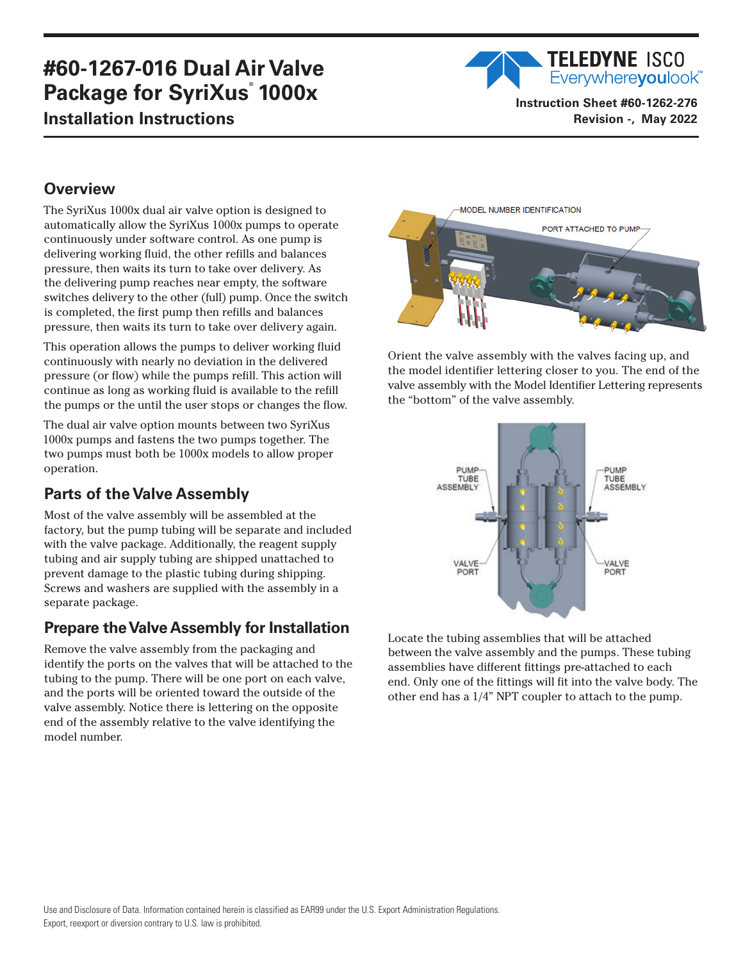# **#60-1267-016 Dual Air Valve Package for SyriXus**®  **1000x Installation Instructions**

**TELEDYNE ISCO** Everywhereyoulook<sup>"</sup> **Instruction Sheet #60-1262-276**

**Revision -, May 2022**

## **Overview**

The SyriXus 1000x dual air valve option is designed to automatically allow the SyriXus 1000x pumps to operate continuously under software control. As one pump is delivering working fluid, the other refills and balances pressure, then waits its turn to take over delivery. As the delivering pump reaches near empty, the software switches delivery to the other (full) pump. Once the switch is completed, the first pump then refills and balances pressure, then waits its turn to take over delivery again.

This operation allows the pumps to deliver working fluid continuously with nearly no deviation in the delivered pressure (or flow) while the pumps refill. This action will continue as long as working fluid is available to the refill the pumps or the until the user stops or changes the flow.

The dual air valve option mounts between two SyriXus 1000x pumps and fastens the two pumps together. The two pumps must both be 1000x models to allow proper operation.

## **Parts of the Valve Assembly**

Most of the valve assembly will be assembled at the factory, but the pump tubing will be separate and included with the valve package. Additionally, the reagent supply tubing and air supply tubing are shipped unattached to prevent damage to the plastic tubing during shipping. Screws and washers are supplied with the assembly in a separate package.

#### **Prepare the Valve Assembly for Installation**

Remove the valve assembly from the packaging and identify the ports on the valves that will be attached to the tubing to the pump. There will be one port on each valve, and the ports will be oriented toward the outside of the valve assembly. Notice there is lettering on the opposite end of the assembly relative to the valve identifying the model number.



Orient the valve assembly with the valves facing up, and the model identifier lettering closer to you. The end of the valve assembly with the Model Identifier Lettering represents the "bottom" of the valve assembly.



Locate the tubing assemblies that will be attached between the valve assembly and the pumps. These tubing assemblies have different fittings pre-attached to each end. Only one of the fittings will fit into the valve body. The other end has a 1/4" NPT coupler to attach to the pump.